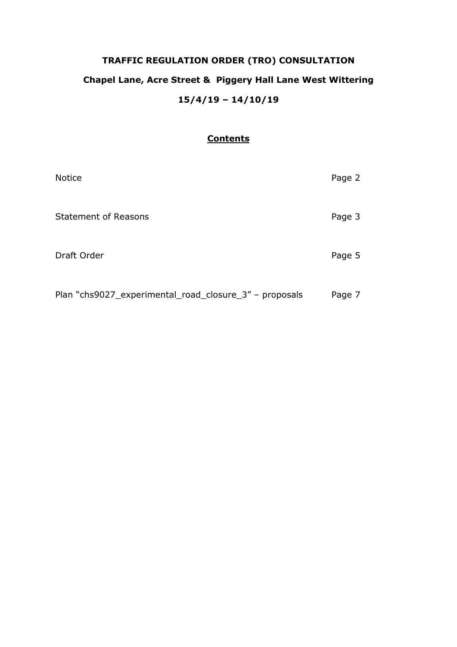# **TRAFFIC REGULATION ORDER (TRO) CONSULTATION Chapel Lane, Acre Street & Piggery Hall Lane West Wittering 15/4/19 – 14/10/19**

## **Contents**

| <b>Notice</b>                                          | Page 2 |
|--------------------------------------------------------|--------|
| <b>Statement of Reasons</b>                            | Page 3 |
| Draft Order                                            | Page 5 |
| Plan "chs9027_experimental_road_closure_3" - proposals | Page 7 |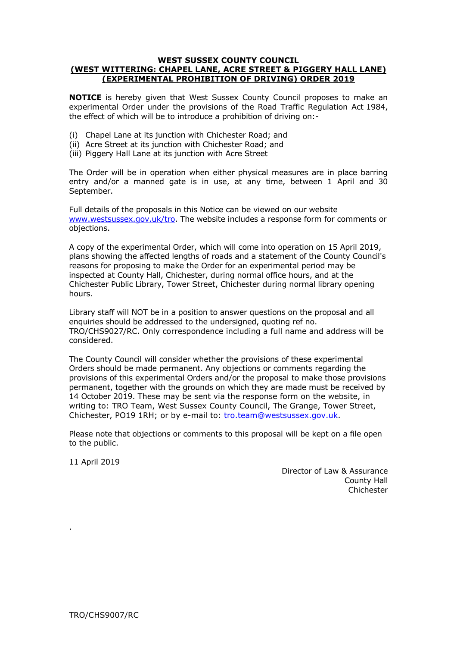#### **WEST SUSSEX COUNTY COUNCIL (WEST WITTERING: CHAPEL LANE, ACRE STREET & PIGGERY HALL LANE) (EXPERIMENTAL PROHIBITION OF DRIVING) ORDER 2019**

**NOTICE** is hereby given that West Sussex County Council proposes to make an experimental Order under the provisions of the Road Traffic Regulation Act 1984, the effect of which will be to introduce a prohibition of driving on:-

- (i) Chapel Lane at its junction with Chichester Road; and
- (ii) Acre Street at its junction with Chichester Road; and
- (iii) Piggery Hall Lane at its junction with Acre Street

The Order will be in operation when either physical measures are in place barring entry and/or a manned gate is in use, at any time, between 1 April and 30 September.

Full details of the proposals in this Notice can be viewed on our website [www.westsussex.gov.uk/tro.](http://www.westsussex.gov.uk/tro) The website includes a response form for comments or objections.

A copy of the experimental Order, which will come into operation on 15 April 2019, plans showing the affected lengths of roads and a statement of the County Council's reasons for proposing to make the Order for an experimental period may be inspected at County Hall, Chichester, during normal office hours, and at the Chichester Public Library, Tower Street, Chichester during normal library opening hours.

Library staff will NOT be in a position to answer questions on the proposal and all enquiries should be addressed to the undersigned, quoting ref no. TRO/CHS9027/RC. Only correspondence including a full name and address will be considered.

The County Council will consider whether the provisions of these experimental Orders should be made permanent. Any objections or comments regarding the provisions of this experimental Orders and/or the proposal to make those provisions permanent, together with the grounds on which they are made must be received by 14 October 2019. These may be sent via the response form on the website, in writing to: TRO Team, West Sussex County Council, The Grange, Tower Street, Chichester, PO19 1RH; or by e-mail to: [tro.team@westsussex.gov.uk.](mailto:tro.team@westsussex.gov.uk)

Please note that objections or comments to this proposal will be kept on a file open to the public.

11 April 2019

.

Director of Law & Assurance County Hall **Chichester**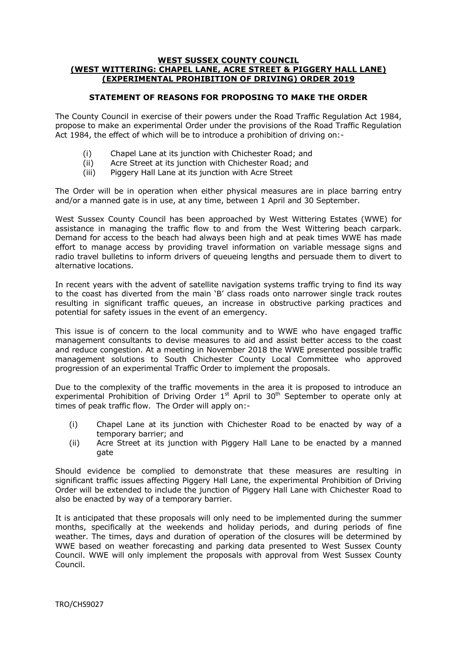#### **WEST SUSSEX COUNTY COUNCIL (WEST WITTERING: CHAPEL LANE, ACRE STREET & PIGGERY HALL LANE) (EXPERIMENTAL PROHIBITION OF DRIVING) ORDER 2019**

## **STATEMENT OF REASONS FOR PROPOSING TO MAKE THE ORDER**

The County Council in exercise of their powers under the Road Traffic Regulation Act 1984, propose to make an experimental Order under the provisions of the Road Traffic Regulation Act 1984, the effect of which will be to introduce a prohibition of driving on:-

- (i) Chapel Lane at its junction with Chichester Road; and
- (ii) Acre Street at its junction with Chichester Road; and
- (iii) Piggery Hall Lane at its junction with Acre Street

The Order will be in operation when either physical measures are in place barring entry and/or a manned gate is in use, at any time, between 1 April and 30 September.

West Sussex County Council has been approached by West Wittering Estates (WWE) for assistance in managing the traffic flow to and from the West Wittering beach carpark. Demand for access to the beach had always been high and at peak times WWE has made effort to manage access by providing travel information on variable message signs and radio travel bulletins to inform drivers of queueing lengths and persuade them to divert to alternative locations.

In recent years with the advent of satellite navigation systems traffic trying to find its way to the coast has diverted from the main 'B' class roads onto narrower single track routes resulting in significant traffic queues, an increase in obstructive parking practices and potential for safety issues in the event of an emergency.

This issue is of concern to the local community and to WWE who have engaged traffic management consultants to devise measures to aid and assist better access to the coast and reduce congestion. At a meeting in November 2018 the WWE presented possible traffic management solutions to South Chichester County Local Committee who approved progression of an experimental Traffic Order to implement the proposals.

Due to the complexity of the traffic movements in the area it is proposed to introduce an experimental Prohibition of Driving Order  $1<sup>st</sup>$  April to  $30<sup>th</sup>$  September to operate only at times of peak traffic flow. The Order will apply on:-

- (i) Chapel Lane at its junction with Chichester Road to be enacted by way of a temporary barrier; and
- (ii) Acre Street at its junction with Piggery Hall Lane to be enacted by a manned gate

Should evidence be complied to demonstrate that these measures are resulting in significant traffic issues affecting Piggery Hall Lane, the experimental Prohibition of Driving Order will be extended to include the junction of Piggery Hall Lane with Chichester Road to also be enacted by way of a temporary barrier.

It is anticipated that these proposals will only need to be implemented during the summer months, specifically at the weekends and holiday periods, and during periods of fine weather. The times, days and duration of operation of the closures will be determined by WWE based on weather forecasting and parking data presented to West Sussex County Council. WWE will only implement the proposals with approval from West Sussex County Council.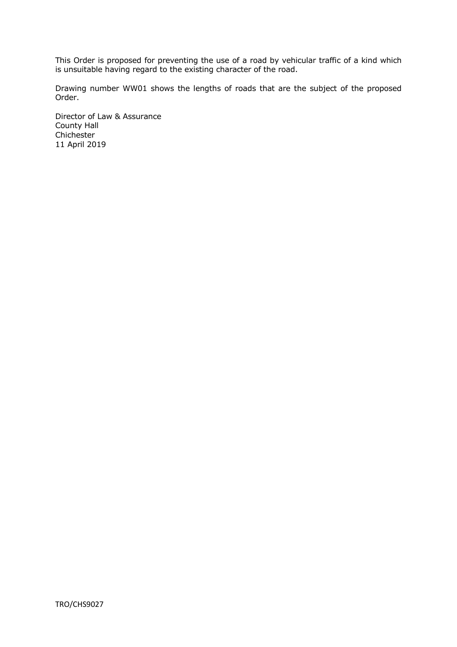This Order is proposed for preventing the use of a road by vehicular traffic of a kind which is unsuitable having regard to the existing character of the road.

Drawing number WW01 shows the lengths of roads that are the subject of the proposed Order.

Director of Law & Assurance County Hall Chichester 11 April 2019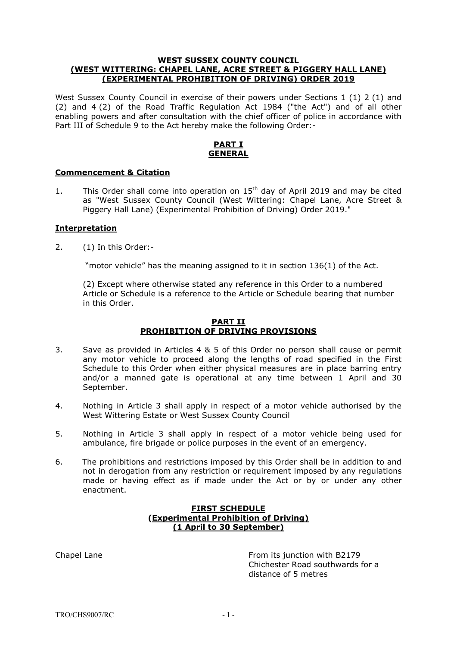#### **WEST SUSSEX COUNTY COUNCIL (WEST WITTERING: CHAPEL LANE, ACRE STREET & PIGGERY HALL LANE) (EXPERIMENTAL PROHIBITION OF DRIVING) ORDER 2019**

West Sussex County Council in exercise of their powers under Sections 1 (1) 2 (1) and (2) and 4 (2) of the Road Traffic Regulation Act 1984 ("the Act") and of all other enabling powers and after consultation with the chief officer of police in accordance with Part III of Schedule 9 to the Act hereby make the following Order:-

## **PART I GENERAL**

### **Commencement & Citation**

1. This Order shall come into operation on  $15<sup>th</sup>$  day of April 2019 and may be cited as "West Sussex County Council (West Wittering: Chapel Lane, Acre Street & Piggery Hall Lane) (Experimental Prohibition of Driving) Order 2019."

## **Interpretation**

2. (1) In this Order:-

"motor vehicle" has the meaning assigned to it in section 136(1) of the Act.

(2) Except where otherwise stated any reference in this Order to a numbered Article or Schedule is a reference to the Article or Schedule bearing that number in this Order.

#### **PART II PROHIBITION OF DRIVING PROVISIONS**

- 3. Save as provided in Articles 4 & 5 of this Order no person shall cause or permit any motor vehicle to proceed along the lengths of road specified in the First Schedule to this Order when either physical measures are in place barring entry and/or a manned gate is operational at any time between 1 April and 30 September.
- 4. Nothing in Article 3 shall apply in respect of a motor vehicle authorised by the West Wittering Estate or West Sussex County Council
- 5. Nothing in Article 3 shall apply in respect of a motor vehicle being used for ambulance, fire brigade or police purposes in the event of an emergency.
- 6. The prohibitions and restrictions imposed by this Order shall be in addition to and not in derogation from any restriction or requirement imposed by any regulations made or having effect as if made under the Act or by or under any other enactment.

## **FIRST SCHEDULE (Experimental Prohibition of Driving) (1 April to 30 September)**

Chapel Lane From its junction with B2179 Chichester Road southwards for a distance of 5 metres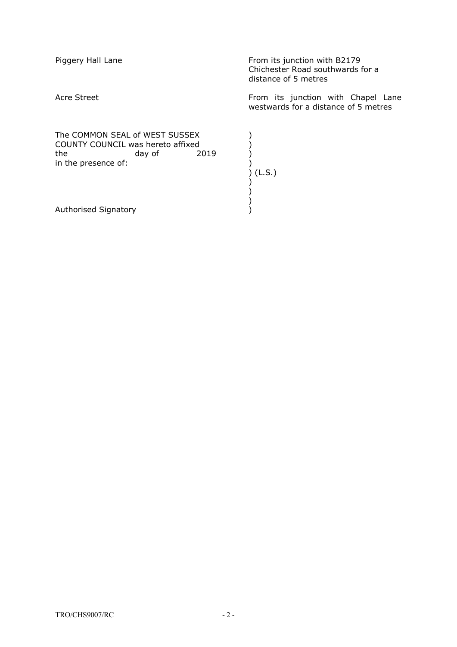| Piggery Hall Lane                                                                                                   | From its junction with B2179<br>Chichester Road southwards for a<br>distance of 5 metres |
|---------------------------------------------------------------------------------------------------------------------|------------------------------------------------------------------------------------------|
| Acre Street                                                                                                         | From its junction with Chapel Lane<br>westwards for a distance of 5 metres               |
| The COMMON SEAL of WEST SUSSEX<br>COUNTY COUNCIL was hereto affixed<br>the<br>day of<br>2019<br>in the presence of: | (L.S.)                                                                                   |
| Authorised Signatory                                                                                                |                                                                                          |